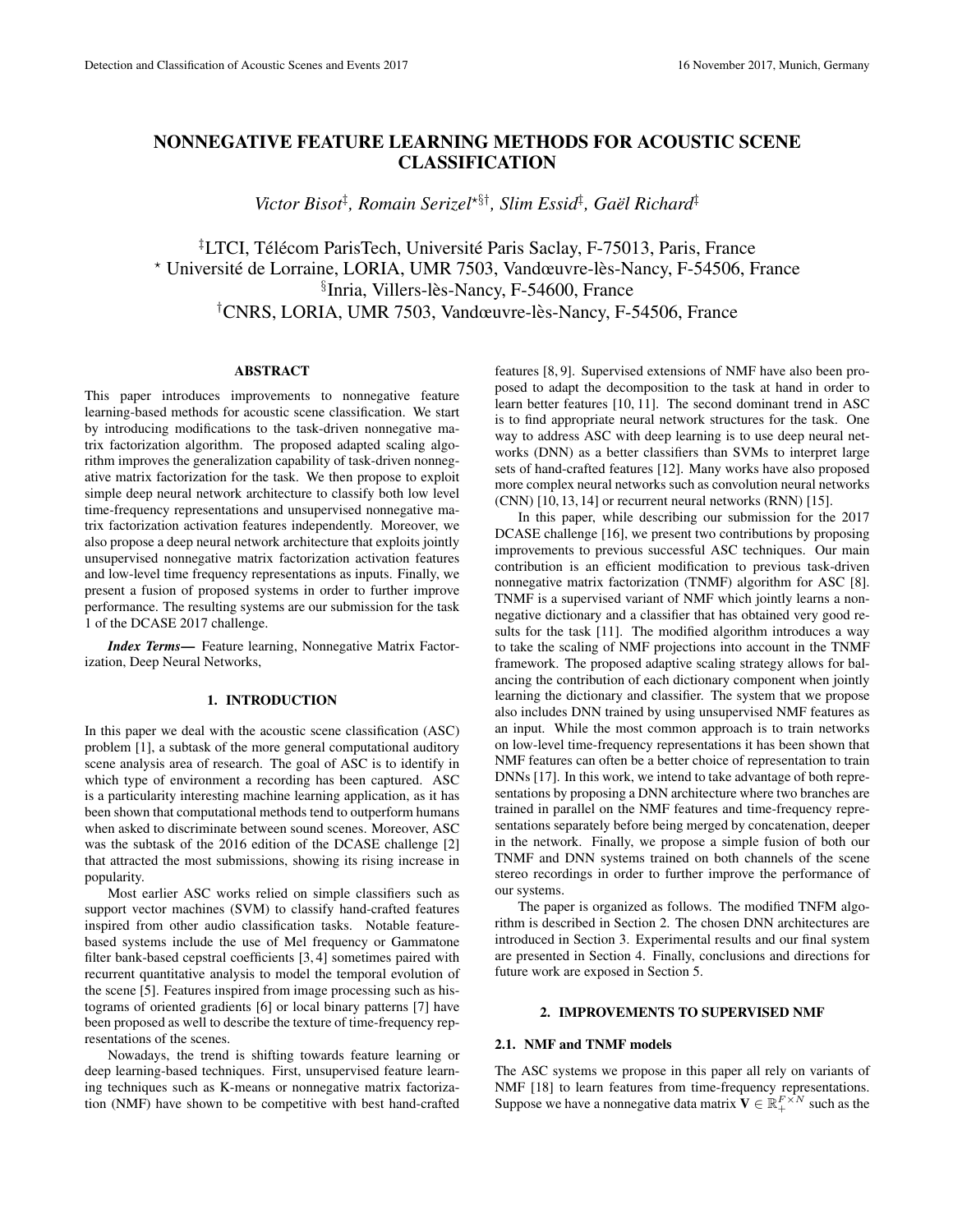# NONNEGATIVE FEATURE LEARNING METHODS FOR ACOUSTIC SCENE CLASSIFICATION

Victor Bisot<sup>‡</sup>, Romain Serizel<sup>\*§†</sup>, Slim Essid<sup>‡</sup>, Gaël Richard<sup>‡</sup>

<sup>‡</sup>LTCI, Télécom ParisTech, Université Paris Saclay, F-75013, Paris, France \* Université de Lorraine, LORIA, UMR 7503, Vandœuvre-lès-Nancy, F-54506, France §Inria, Villers-lès-Nancy, F-54600, France <sup>†</sup>CNRS, LORIA, UMR 7503, Vandœuvre-lès-Nancy, F-54506, France

## ABSTRACT

This paper introduces improvements to nonnegative feature learning-based methods for acoustic scene classification. We start by introducing modifications to the task-driven nonnegative matrix factorization algorithm. The proposed adapted scaling algorithm improves the generalization capability of task-driven nonnegative matrix factorization for the task. We then propose to exploit simple deep neural network architecture to classify both low level time-frequency representations and unsupervised nonnegative matrix factorization activation features independently. Moreover, we also propose a deep neural network architecture that exploits jointly unsupervised nonnegative matrix factorization activation features and low-level time frequency representations as inputs. Finally, we present a fusion of proposed systems in order to further improve performance. The resulting systems are our submission for the task 1 of the DCASE 2017 challenge.

*Index Terms*— Feature learning, Nonnegative Matrix Factorization, Deep Neural Networks,

## 1. INTRODUCTION

In this paper we deal with the acoustic scene classification (ASC) problem [1], a subtask of the more general computational auditory scene analysis area of research. The goal of ASC is to identify in which type of environment a recording has been captured. ASC is a particularity interesting machine learning application, as it has been shown that computational methods tend to outperform humans when asked to discriminate between sound scenes. Moreover, ASC was the subtask of the 2016 edition of the DCASE challenge [2] that attracted the most submissions, showing its rising increase in popularity.

Most earlier ASC works relied on simple classifiers such as support vector machines (SVM) to classify hand-crafted features inspired from other audio classification tasks. Notable featurebased systems include the use of Mel frequency or Gammatone filter bank-based cepstral coefficients [3, 4] sometimes paired with recurrent quantitative analysis to model the temporal evolution of the scene [5]. Features inspired from image processing such as histograms of oriented gradients [6] or local binary patterns [7] have been proposed as well to describe the texture of time-frequency representations of the scenes.

Nowadays, the trend is shifting towards feature learning or deep learning-based techniques. First, unsupervised feature learning techniques such as K-means or nonnegative matrix factorization (NMF) have shown to be competitive with best hand-crafted features [8, 9]. Supervised extensions of NMF have also been proposed to adapt the decomposition to the task at hand in order to learn better features [10, 11]. The second dominant trend in ASC is to find appropriate neural network structures for the task. One way to address ASC with deep learning is to use deep neural networks (DNN) as a better classifiers than SVMs to interpret large sets of hand-crafted features [12]. Many works have also proposed more complex neural networks such as convolution neural networks (CNN) [10, 13, 14] or recurrent neural networks (RNN) [15].

In this paper, while describing our submission for the 2017 DCASE challenge [16], we present two contributions by proposing improvements to previous successful ASC techniques. Our main contribution is an efficient modification to previous task-driven nonnegative matrix factorization (TNMF) algorithm for ASC [8]. TNMF is a supervised variant of NMF which jointly learns a nonnegative dictionary and a classifier that has obtained very good results for the task [11]. The modified algorithm introduces a way to take the scaling of NMF projections into account in the TNMF framework. The proposed adaptive scaling strategy allows for balancing the contribution of each dictionary component when jointly learning the dictionary and classifier. The system that we propose also includes DNN trained by using unsupervised NMF features as an input. While the most common approach is to train networks on low-level time-frequency representations it has been shown that NMF features can often be a better choice of representation to train DNNs [17]. In this work, we intend to take advantage of both representations by proposing a DNN architecture where two branches are trained in parallel on the NMF features and time-frequency representations separately before being merged by concatenation, deeper in the network. Finally, we propose a simple fusion of both our TNMF and DNN systems trained on both channels of the scene stereo recordings in order to further improve the performance of our systems.

The paper is organized as follows. The modified TNFM algorithm is described in Section 2. The chosen DNN architectures are introduced in Section 3. Experimental results and our final system are presented in Section 4. Finally, conclusions and directions for future work are exposed in Section 5.

## 2. IMPROVEMENTS TO SUPERVISED NMF

# 2.1. NMF and TNMF models

The ASC systems we propose in this paper all rely on variants of NMF [18] to learn features from time-frequency representations. Suppose we have a nonnegative data matrix  $\mathbf{V} \in \mathbb{R}_+^{F \times N}$  such as the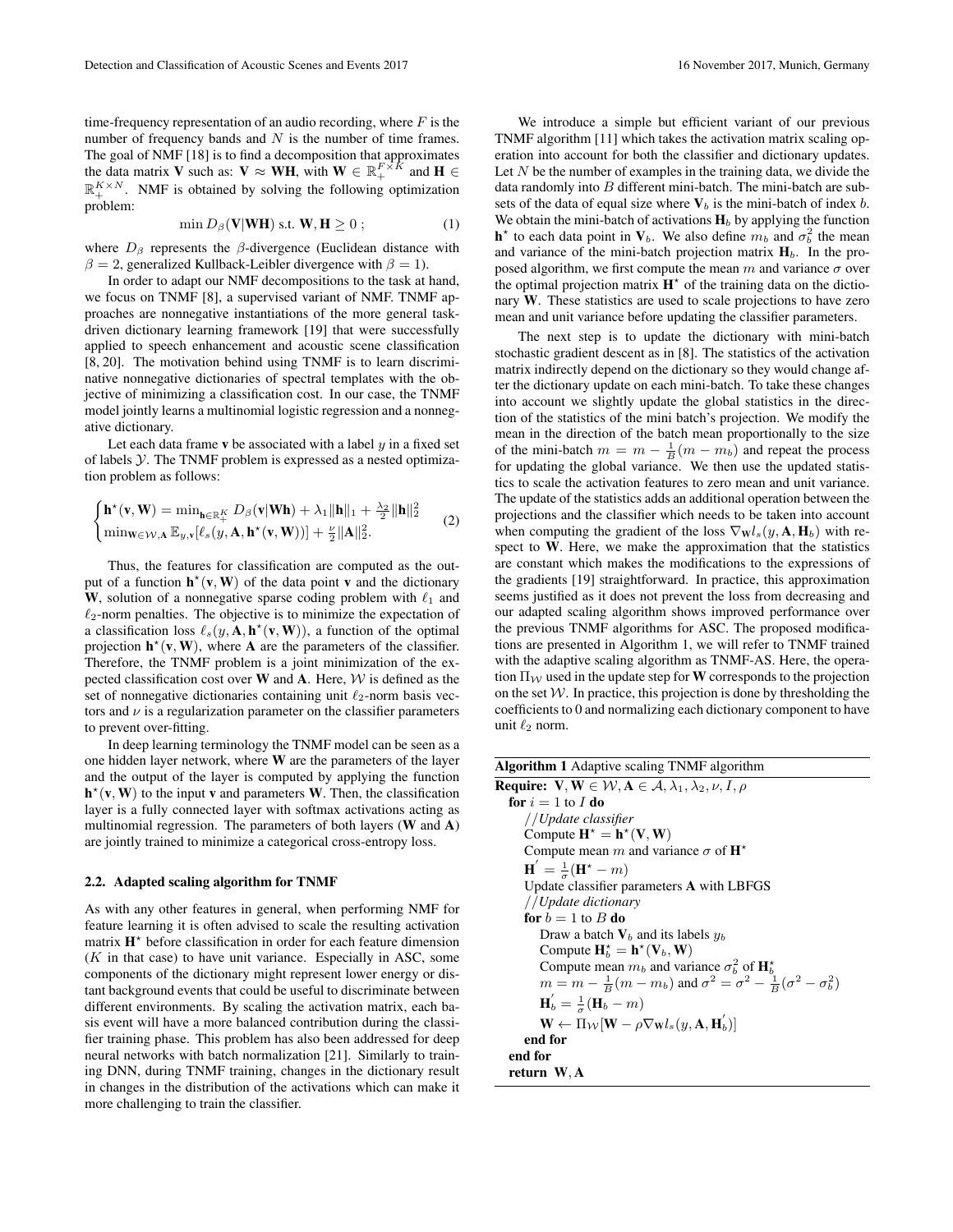time-frequency representation of an audio recording, where  $F$  is the number of frequency bands and  $N$  is the number of time frames. The goal of NMF [18] is to find a decomposition that approximates the data matrix V such as:  $V \approx WH$ , with  $W \in \mathbb{R}_+^{F \times \hat{K}}$  and  $H \in$  $\mathbb{R}_+^{K \times N}$ . NMF is obtained by solving the following optimization problem:

$$
\min D_{\beta}(\mathbf{V}|\mathbf{W}\mathbf{H}) \text{ s.t. } \mathbf{W}, \mathbf{H} \ge 0 ; \qquad (1)
$$

where  $D_\beta$  represents the  $\beta$ -divergence (Euclidean distance with  $\beta = 2$ , generalized Kullback-Leibler divergence with  $\beta = 1$ ).

In order to adapt our NMF decompositions to the task at hand, we focus on TNMF [8], a supervised variant of NMF. TNMF approaches are nonnegative instantiations of the more general taskdriven dictionary learning framework [19] that were successfully applied to speech enhancement and acoustic scene classification [8, 20]. The motivation behind using TNMF is to learn discriminative nonnegative dictionaries of spectral templates with the objective of minimizing a classification cost. In our case, the TNMF model jointly learns a multinomial logistic regression and a nonnegative dictionary.

Let each data frame v be associated with a label  $\psi$  in a fixed set of labels  $Y$ . The TNMF problem is expressed as a nested optimization problem as follows:

$$
\begin{cases}\n\mathbf{h}^{\star}(\mathbf{v}, \mathbf{W}) = \min_{\mathbf{h} \in \mathbb{R}_+^K} D_{\beta}(\mathbf{v}|\mathbf{W}\mathbf{h}) + \lambda_1 \|\mathbf{h}\|_1 + \frac{\lambda_2}{2} \|\mathbf{h}\|_2^2 \\
\min_{\mathbf{w} \in \mathcal{W}, \mathbf{A}} \mathbb{E}_{y, \mathbf{v}}[\ell_s(y, \mathbf{A}, \mathbf{h}^{\star}(\mathbf{v}, \mathbf{W}))] + \frac{\nu}{2} \|\mathbf{A}\|_2^2.\n\end{cases}
$$
\n(2)

Thus, the features for classification are computed as the output of a function  $h^*(v, W)$  of the data point v and the dictionary W, solution of a nonnegative sparse coding problem with  $\ell_1$  and  $\ell_2$ -norm penalties. The objective is to minimize the expectation of a classification loss  $\ell_s(y, \mathbf{A}, \mathbf{h}^{\star}(\mathbf{v}, \mathbf{W}))$ , a function of the optimal projection  $h^*(v, W)$ , where A are the parameters of the classifier. Therefore, the TNMF problem is a joint minimization of the expected classification cost over  $W$  and  $A$ . Here,  $W$  is defined as the set of nonnegative dictionaries containing unit  $\ell_2$ -norm basis vectors and  $\nu$  is a regularization parameter on the classifier parameters to prevent over-fitting.

In deep learning terminology the TNMF model can be seen as a one hidden layer network, where W are the parameters of the layer and the output of the layer is computed by applying the function  $h^*(v, W)$  to the input v and parameters W. Then, the classification layer is a fully connected layer with softmax activations acting as multinomial regression. The parameters of both layers  $(W \text{ and } A)$ are jointly trained to minimize a categorical cross-entropy loss.

#### 2.2. Adapted scaling algorithm for TNMF

As with any other features in general, when performing NMF for feature learning it is often advised to scale the resulting activation matrix H<sup>\*</sup> before classification in order for each feature dimension  $(K$  in that case) to have unit variance. Especially in ASC, some components of the dictionary might represent lower energy or distant background events that could be useful to discriminate between different environments. By scaling the activation matrix, each basis event will have a more balanced contribution during the classifier training phase. This problem has also been addressed for deep neural networks with batch normalization [21]. Similarly to training DNN, during TNMF training, changes in the dictionary result in changes in the distribution of the activations which can make it more challenging to train the classifier.

We introduce a simple but efficient variant of our previous TNMF algorithm [11] which takes the activation matrix scaling operation into account for both the classifier and dictionary updates. Let  $N$  be the number of examples in the training data, we divide the data randomly into  $B$  different mini-batch. The mini-batch are subsets of the data of equal size where  $V_b$  is the mini-batch of index b. We obtain the mini-batch of activations  $H_b$  by applying the function  $h^*$  to each data point in  $V_b$ . We also define  $m_b$  and  $\sigma_b^2$  the mean and variance of the mini-batch projection matrix  $H_b$ . In the proposed algorithm, we first compute the mean  $m$  and variance  $\sigma$  over the optimal projection matrix  $\mathbf{H}^*$  of the training data on the dictionary W. These statistics are used to scale projections to have zero mean and unit variance before updating the classifier parameters.

The next step is to update the dictionary with mini-batch stochastic gradient descent as in [8]. The statistics of the activation matrix indirectly depend on the dictionary so they would change after the dictionary update on each mini-batch. To take these changes into account we slightly update the global statistics in the direction of the statistics of the mini batch's projection. We modify the mean in the direction of the batch mean proportionally to the size of the mini-batch  $m = m - \frac{1}{B}(m - m_b)$  and repeat the process for updating the global variance. We then use the updated statistics to scale the activation features to zero mean and unit variance. The update of the statistics adds an additional operation between the projections and the classifier which needs to be taken into account when computing the gradient of the loss  $\nabla_{\mathbf{W}} l_s(y, \mathbf{A}, \mathbf{H}_b)$  with respect to W. Here, we make the approximation that the statistics are constant which makes the modifications to the expressions of the gradients [19] straightforward. In practice, this approximation seems justified as it does not prevent the loss from decreasing and our adapted scaling algorithm shows improved performance over the previous TNMF algorithms for ASC. The proposed modifications are presented in Algorithm 1, we will refer to TNMF trained with the adaptive scaling algorithm as TNMF-AS. Here, the operation  $\Pi_{\mathcal{W}}$  used in the update step for **W** corresponds to the projection on the set  $W$ . In practice, this projection is done by thresholding the coefficients to 0 and normalizing each dictionary component to have unit  $\ell_2$  norm.

| Algorithm 1 Adaptive scaling TNMF algorithm |  |  |  |  |
|---------------------------------------------|--|--|--|--|
|---------------------------------------------|--|--|--|--|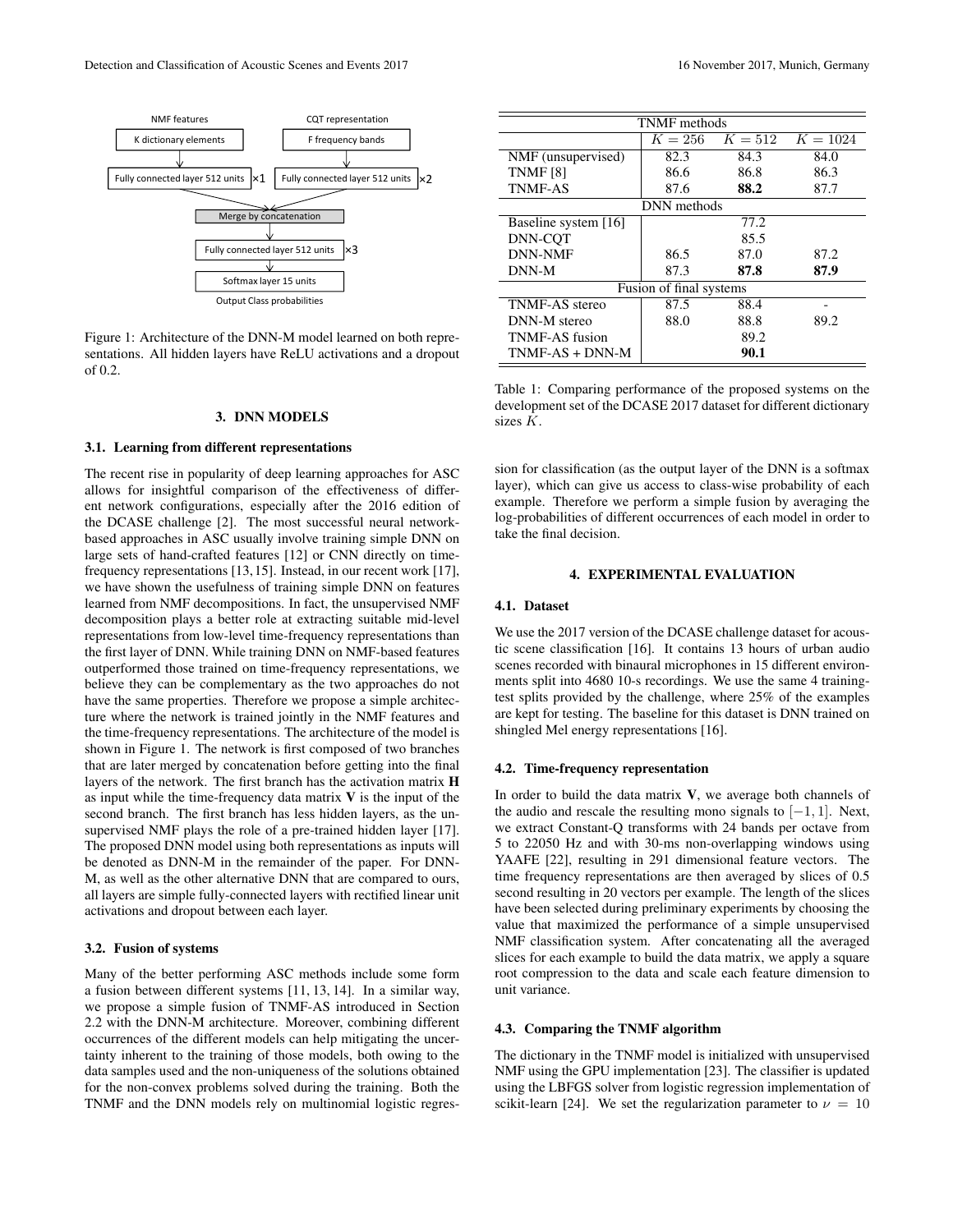

Figure 1: Architecture of the DNN-M model learned on both representations. All hidden layers have ReLU activations and a dropout of 0.2.

# 3. DNN MODELS

#### 3.1. Learning from different representations

The recent rise in popularity of deep learning approaches for ASC allows for insightful comparison of the effectiveness of different network configurations, especially after the 2016 edition of the DCASE challenge [2]. The most successful neural networkbased approaches in ASC usually involve training simple DNN on large sets of hand-crafted features [12] or CNN directly on timefrequency representations [13,15]. Instead, in our recent work [17], we have shown the usefulness of training simple DNN on features learned from NMF decompositions. In fact, the unsupervised NMF decomposition plays a better role at extracting suitable mid-level representations from low-level time-frequency representations than the first layer of DNN. While training DNN on NMF-based features outperformed those trained on time-frequency representations, we believe they can be complementary as the two approaches do not have the same properties. Therefore we propose a simple architecture where the network is trained jointly in the NMF features and the time-frequency representations. The architecture of the model is shown in Figure 1. The network is first composed of two branches that are later merged by concatenation before getting into the final layers of the network. The first branch has the activation matrix H as input while the time-frequency data matrix  $V$  is the input of the second branch. The first branch has less hidden layers, as the unsupervised NMF plays the role of a pre-trained hidden layer [17]. The proposed DNN model using both representations as inputs will be denoted as DNN-M in the remainder of the paper. For DNN-M, as well as the other alternative DNN that are compared to ours, all layers are simple fully-connected layers with rectified linear unit activations and dropout between each layer.

# 3.2. Fusion of systems

Many of the better performing ASC methods include some form a fusion between different systems [11, 13, 14]. In a similar way, we propose a simple fusion of TNMF-AS introduced in Section 2.2 with the DNN-M architecture. Moreover, combining different occurrences of the different models can help mitigating the uncertainty inherent to the training of those models, both owing to the data samples used and the non-uniqueness of the solutions obtained for the non-convex problems solved during the training. Both the TNMF and the DNN models rely on multinomial logistic regres-

| <b>TNMF</b> methods     |         |      |                      |  |  |
|-------------------------|---------|------|----------------------|--|--|
|                         | $K=256$ |      | $K = 512$ $K = 1024$ |  |  |
| NMF (unsupervised)      | 82.3    | 84.3 | 84.0                 |  |  |
| <b>TNMF [8]</b>         | 86.6    | 86.8 | 86.3                 |  |  |
| <b>TNMF-AS</b>          | 87.6    | 88.2 | 87.7                 |  |  |
| DNN methods             |         |      |                      |  |  |
| Baseline system [16]    |         | 77.2 |                      |  |  |
| DNN-COT                 |         | 85.5 |                      |  |  |
| <b>DNN-NMF</b>          | 86.5    | 87.0 | 87.2                 |  |  |
| DNN-M                   | 87.3    | 87.8 | 87.9                 |  |  |
| Fusion of final systems |         |      |                      |  |  |
| <b>TNMF-AS</b> stereo   | 87.5    | 88.4 |                      |  |  |
| DNN-M stereo            | 88.0    | 88.8 | 89.2                 |  |  |
| TNMF-AS fusion          |         | 89.2 |                      |  |  |
| $TNMF-AS + DNN-M$       |         | 90.1 |                      |  |  |

Table 1: Comparing performance of the proposed systems on the development set of the DCASE 2017 dataset for different dictionary sizes K.

sion for classification (as the output layer of the DNN is a softmax layer), which can give us access to class-wise probability of each example. Therefore we perform a simple fusion by averaging the log-probabilities of different occurrences of each model in order to take the final decision.

#### 4. EXPERIMENTAL EVALUATION

## 4.1. Dataset

We use the 2017 version of the DCASE challenge dataset for acoustic scene classification [16]. It contains 13 hours of urban audio scenes recorded with binaural microphones in 15 different environments split into 4680 10-s recordings. We use the same 4 trainingtest splits provided by the challenge, where 25% of the examples are kept for testing. The baseline for this dataset is DNN trained on shingled Mel energy representations [16].

## 4.2. Time-frequency representation

In order to build the data matrix  $V$ , we average both channels of the audio and rescale the resulting mono signals to  $[-1, 1]$ . Next, we extract Constant-Q transforms with 24 bands per octave from 5 to 22050 Hz and with 30-ms non-overlapping windows using YAAFE [22], resulting in 291 dimensional feature vectors. The time frequency representations are then averaged by slices of 0.5 second resulting in 20 vectors per example. The length of the slices have been selected during preliminary experiments by choosing the value that maximized the performance of a simple unsupervised NMF classification system. After concatenating all the averaged slices for each example to build the data matrix, we apply a square root compression to the data and scale each feature dimension to unit variance.

## 4.3. Comparing the TNMF algorithm

The dictionary in the TNMF model is initialized with unsupervised NMF using the GPU implementation [23]. The classifier is updated using the LBFGS solver from logistic regression implementation of scikit-learn [24]. We set the regularization parameter to  $\nu = 10$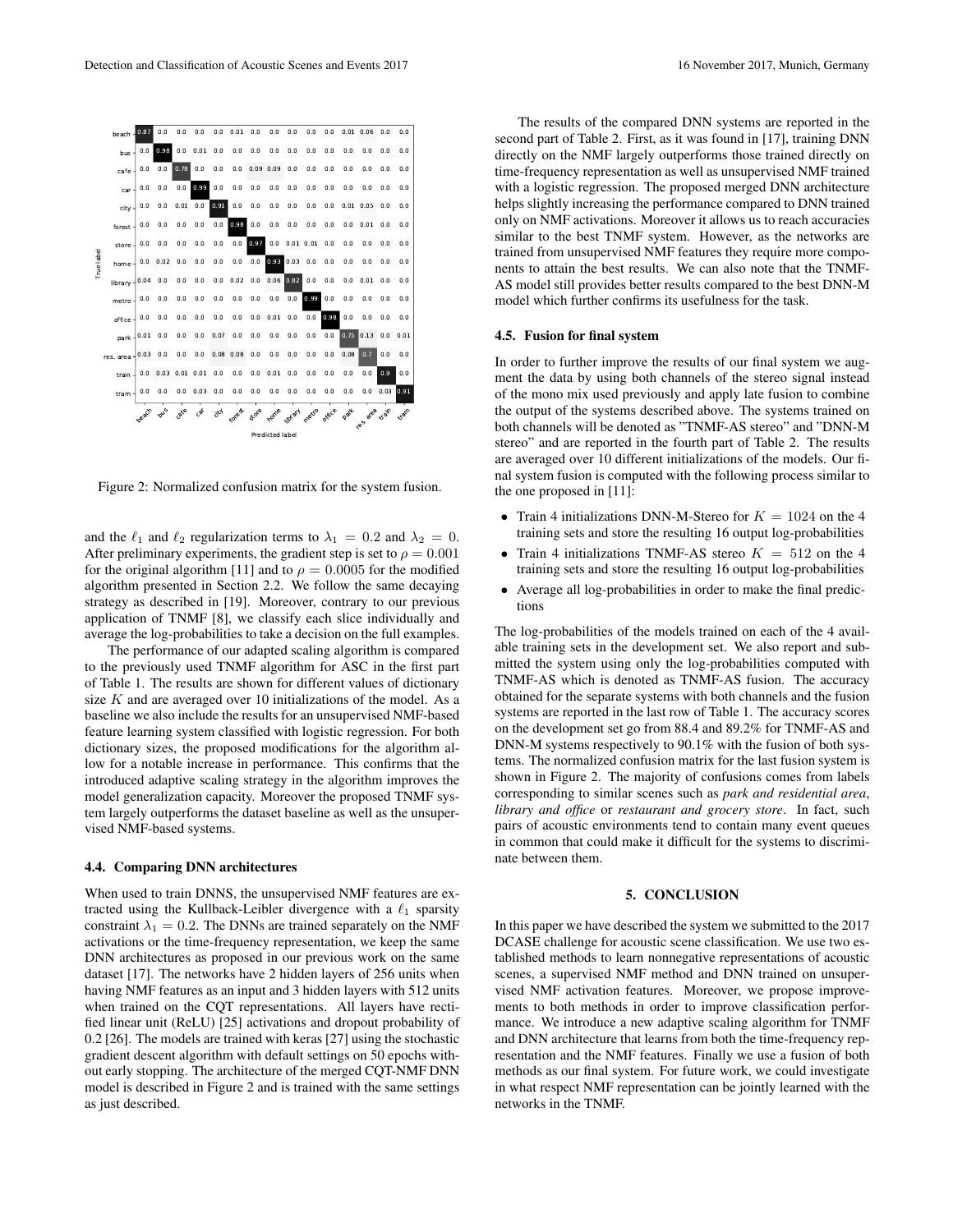

Figure 2: Normalized confusion matrix for the system fusion.

and the  $\ell_1$  and  $\ell_2$  regularization terms to  $\lambda_1 = 0.2$  and  $\lambda_2 = 0$ . After preliminary experiments, the gradient step is set to  $\rho = 0.001$ for the original algorithm [11] and to  $\rho = 0.0005$  for the modified algorithm presented in Section 2.2. We follow the same decaying strategy as described in [19]. Moreover, contrary to our previous application of TNMF [8], we classify each slice individually and average the log-probabilities to take a decision on the full examples.

The performance of our adapted scaling algorithm is compared to the previously used TNMF algorithm for ASC in the first part of Table 1. The results are shown for different values of dictionary size  $K$  and are averaged over 10 initializations of the model. As a baseline we also include the results for an unsupervised NMF-based feature learning system classified with logistic regression. For both dictionary sizes, the proposed modifications for the algorithm allow for a notable increase in performance. This confirms that the introduced adaptive scaling strategy in the algorithm improves the model generalization capacity. Moreover the proposed TNMF system largely outperforms the dataset baseline as well as the unsupervised NMF-based systems.

#### 4.4. Comparing DNN architectures

When used to train DNNS, the unsupervised NMF features are extracted using the Kullback-Leibler divergence with a  $\ell_1$  sparsity constraint  $\lambda_1 = 0.2$ . The DNNs are trained separately on the NMF activations or the time-frequency representation, we keep the same DNN architectures as proposed in our previous work on the same dataset [17]. The networks have 2 hidden layers of 256 units when having NMF features as an input and 3 hidden layers with 512 units when trained on the CQT representations. All layers have rectified linear unit (ReLU) [25] activations and dropout probability of 0.2 [26]. The models are trained with keras [27] using the stochastic gradient descent algorithm with default settings on 50 epochs without early stopping. The architecture of the merged CQT-NMF DNN model is described in Figure 2 and is trained with the same settings as just described.

The results of the compared DNN systems are reported in the second part of Table 2. First, as it was found in [17], training DNN directly on the NMF largely outperforms those trained directly on time-frequency representation as well as unsupervised NMF trained with a logistic regression. The proposed merged DNN architecture helps slightly increasing the performance compared to DNN trained only on NMF activations. Moreover it allows us to reach accuracies similar to the best TNMF system. However, as the networks are trained from unsupervised NMF features they require more components to attain the best results. We can also note that the TNMF-AS model still provides better results compared to the best DNN-M model which further confirms its usefulness for the task.

#### 4.5. Fusion for final system

In order to further improve the results of our final system we augment the data by using both channels of the stereo signal instead of the mono mix used previously and apply late fusion to combine the output of the systems described above. The systems trained on both channels will be denoted as "TNMF-AS stereo" and "DNN-M stereo" and are reported in the fourth part of Table 2. The results are averaged over 10 different initializations of the models. Our final system fusion is computed with the following process similar to the one proposed in [11]:

- Train 4 initializations DNN-M-Stereo for  $K = 1024$  on the 4 training sets and store the resulting 16 output log-probabilities
- Train 4 initializations TNMF-AS stereo  $K = 512$  on the 4 training sets and store the resulting 16 output log-probabilities
- Average all log-probabilities in order to make the final predictions

The log-probabilities of the models trained on each of the 4 available training sets in the development set. We also report and submitted the system using only the log-probabilities computed with TNMF-AS which is denoted as TNMF-AS fusion. The accuracy obtained for the separate systems with both channels and the fusion systems are reported in the last row of Table 1. The accuracy scores on the development set go from 88.4 and 89.2% for TNMF-AS and DNN-M systems respectively to 90.1% with the fusion of both systems. The normalized confusion matrix for the last fusion system is shown in Figure 2. The majority of confusions comes from labels corresponding to similar scenes such as *park and residential area*, *library and office* or *restaurant and grocery store*. In fact, such pairs of acoustic environments tend to contain many event queues in common that could make it difficult for the systems to discriminate between them.

## 5. CONCLUSION

In this paper we have described the system we submitted to the 2017 DCASE challenge for acoustic scene classification. We use two established methods to learn nonnegative representations of acoustic scenes, a supervised NMF method and DNN trained on unsupervised NMF activation features. Moreover, we propose improvements to both methods in order to improve classification performance. We introduce a new adaptive scaling algorithm for TNMF and DNN architecture that learns from both the time-frequency representation and the NMF features. Finally we use a fusion of both methods as our final system. For future work, we could investigate in what respect NMF representation can be jointly learned with the networks in the TNMF.